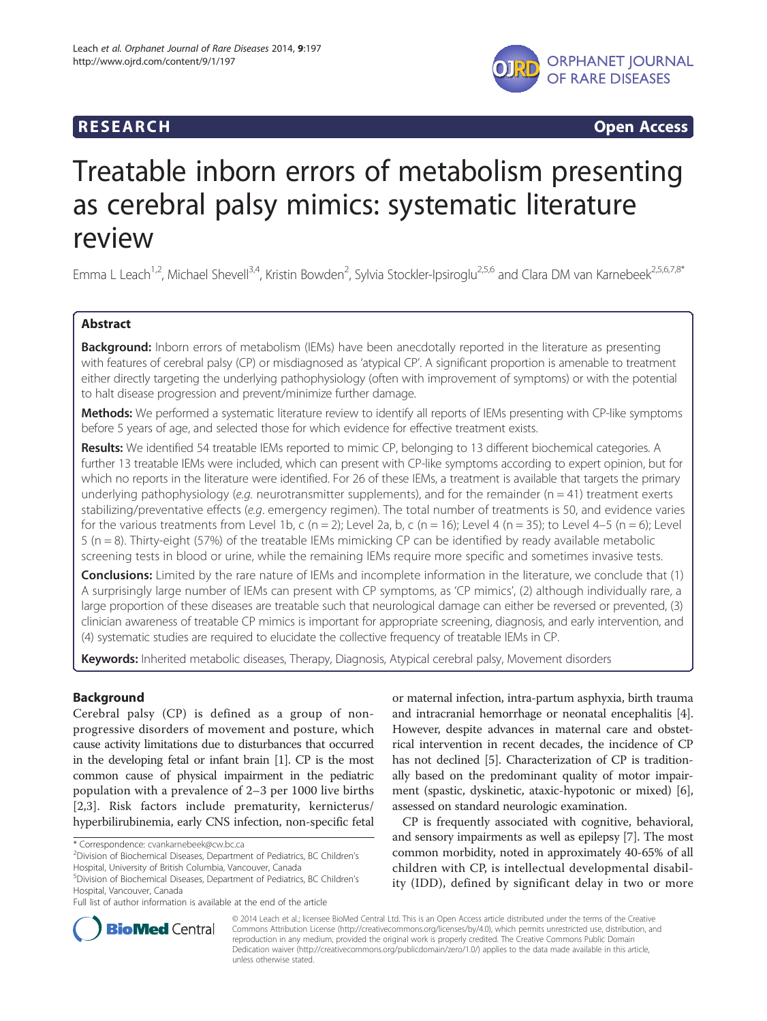# **RESEARCH CHINESEARCH CHINESEARCH CHINESE**



# Treatable inborn errors of metabolism presenting as cerebral palsy mimics: systematic literature review

Emma L Leach<sup>1,2</sup>, Michael Shevell<sup>3,4</sup>, Kristin Bowden<sup>2</sup>, Sylvia Stockler-Ipsiroglu<sup>2,5,6</sup> and Clara DM van Karnebeek<sup>2,5,6,7,8\*</sup>

# Abstract

Background: Inborn errors of metabolism (IEMs) have been anecdotally reported in the literature as presenting with features of cerebral palsy (CP) or misdiagnosed as 'atypical CP'. A significant proportion is amenable to treatment either directly targeting the underlying pathophysiology (often with improvement of symptoms) or with the potential to halt disease progression and prevent/minimize further damage.

Methods: We performed a systematic literature review to identify all reports of IEMs presenting with CP-like symptoms before 5 years of age, and selected those for which evidence for effective treatment exists.

Results: We identified 54 treatable IEMs reported to mimic CP, belonging to 13 different biochemical categories. A further 13 treatable IEMs were included, which can present with CP-like symptoms according to expert opinion, but for which no reports in the literature were identified. For 26 of these IEMs, a treatment is available that targets the primary underlying pathophysiology (e.g. neurotransmitter supplements), and for the remainder ( $n = 41$ ) treatment exerts stabilizing/preventative effects (e.g. emergency regimen). The total number of treatments is 50, and evidence varies for the various treatments from Level 1b, c (n = 2); Level 2a, b, c (n = 16); Level 4 (n = 35); to Level 4–5 (n = 6); Level 5 (n = 8). Thirty-eight (57%) of the treatable IEMs mimicking CP can be identified by ready available metabolic screening tests in blood or urine, while the remaining IEMs require more specific and sometimes invasive tests.

Conclusions: Limited by the rare nature of IEMs and incomplete information in the literature, we conclude that (1) A surprisingly large number of IEMs can present with CP symptoms, as 'CP mimics', (2) although individually rare, a large proportion of these diseases are treatable such that neurological damage can either be reversed or prevented, (3) clinician awareness of treatable CP mimics is important for appropriate screening, diagnosis, and early intervention, and (4) systematic studies are required to elucidate the collective frequency of treatable IEMs in CP.

Keywords: Inherited metabolic diseases, Therapy, Diagnosis, Atypical cerebral palsy, Movement disorders

# **Background**

Cerebral palsy (CP) is defined as a group of nonprogressive disorders of movement and posture, which cause activity limitations due to disturbances that occurred in the developing fetal or infant brain [\[1\]](#page-12-0). CP is the most common cause of physical impairment in the pediatric population with a prevalence of 2–3 per 1000 live births [[2,3](#page-12-0)]. Risk factors include prematurity, kernicterus/ hyperbilirubinemia, early CNS infection, non-specific fetal

or maternal infection, intra-partum asphyxia, birth trauma and intracranial hemorrhage or neonatal encephalitis [[4](#page-12-0)]. However, despite advances in maternal care and obstetrical intervention in recent decades, the incidence of CP has not declined [\[5](#page-12-0)]. Characterization of CP is traditionally based on the predominant quality of motor impairment (spastic, dyskinetic, ataxic-hypotonic or mixed) [[6](#page-12-0)], assessed on standard neurologic examination.

CP is frequently associated with cognitive, behavioral, and sensory impairments as well as epilepsy [\[7\]](#page-12-0). The most common morbidity, noted in approximately 40-65% of all children with CP, is intellectual developmental disability (IDD), defined by significant delay in two or more



© 2014 Leach et al.; licensee BioMed Central Ltd. This is an Open Access article distributed under the terms of the Creative Commons Attribution License [\(http://creativecommons.org/licenses/by/4.0\)](http://creativecommons.org/licenses/by/4.0), which permits unrestricted use, distribution, and reproduction in any medium, provided the original work is properly credited. The Creative Commons Public Domain Dedication waiver [\(http://creativecommons.org/publicdomain/zero/1.0/](http://creativecommons.org/publicdomain/zero/1.0/)) applies to the data made available in this article, unless otherwise stated.

<sup>\*</sup> Correspondence: [cvankarnebeek@cw.bc.ca](mailto:cvankarnebeek@cw.bc.ca) <sup>2</sup>

<sup>&</sup>lt;sup>2</sup> Division of Biochemical Diseases, Department of Pediatrics, BC Children's Hospital, University of British Columbia, Vancouver, Canada

<sup>5</sup> Division of Biochemical Diseases, Department of Pediatrics, BC Children's Hospital, Vancouver, Canada

Full list of author information is available at the end of the article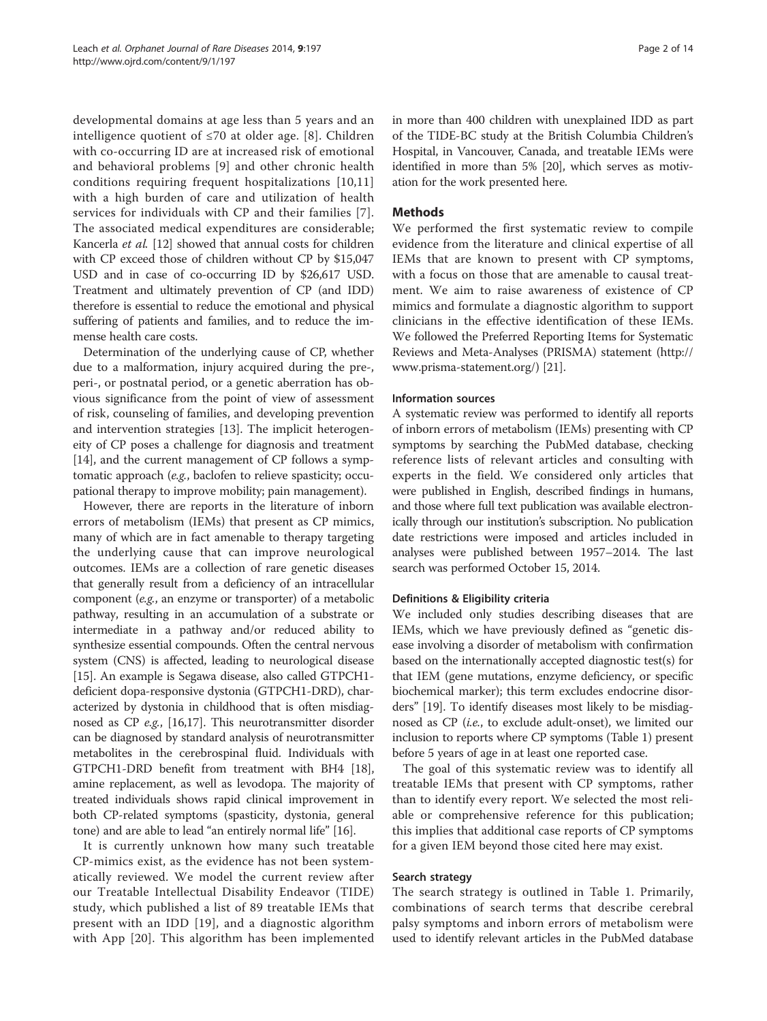developmental domains at age less than 5 years and an intelligence quotient of  $\leq 70$  at older age. [[8](#page-12-0)]. Children with co-occurring ID are at increased risk of emotional and behavioral problems [\[9\]](#page-12-0) and other chronic health conditions requiring frequent hospitalizations [[10,11](#page-12-0)] with a high burden of care and utilization of health services for individuals with CP and their families [[7\]](#page-12-0). The associated medical expenditures are considerable; Kancerla et al. [[12](#page-12-0)] showed that annual costs for children with CP exceed those of children without CP by \$15,047 USD and in case of co-occurring ID by \$26,617 USD. Treatment and ultimately prevention of CP (and IDD) therefore is essential to reduce the emotional and physical suffering of patients and families, and to reduce the immense health care costs.

Determination of the underlying cause of CP, whether due to a malformation, injury acquired during the pre-, peri-, or postnatal period, or a genetic aberration has obvious significance from the point of view of assessment of risk, counseling of families, and developing prevention and intervention strategies [\[13](#page-12-0)]. The implicit heterogeneity of CP poses a challenge for diagnosis and treatment [[14](#page-12-0)], and the current management of CP follows a symptomatic approach (e.g., baclofen to relieve spasticity; occupational therapy to improve mobility; pain management).

However, there are reports in the literature of inborn errors of metabolism (IEMs) that present as CP mimics, many of which are in fact amenable to therapy targeting the underlying cause that can improve neurological outcomes. IEMs are a collection of rare genetic diseases that generally result from a deficiency of an intracellular component (e.g., an enzyme or transporter) of a metabolic pathway, resulting in an accumulation of a substrate or intermediate in a pathway and/or reduced ability to synthesize essential compounds. Often the central nervous system (CNS) is affected, leading to neurological disease [[15](#page-12-0)]. An example is Segawa disease, also called GTPCH1 deficient dopa-responsive dystonia (GTPCH1-DRD), characterized by dystonia in childhood that is often misdiagnosed as CP e.g., [\[16,17\]](#page-12-0). This neurotransmitter disorder can be diagnosed by standard analysis of neurotransmitter metabolites in the cerebrospinal fluid. Individuals with GTPCH1-DRD benefit from treatment with BH4 [[18](#page-12-0)], amine replacement, as well as levodopa. The majority of treated individuals shows rapid clinical improvement in both CP-related symptoms (spasticity, dystonia, general tone) and are able to lead "an entirely normal life" [[16](#page-12-0)].

It is currently unknown how many such treatable CP-mimics exist, as the evidence has not been systematically reviewed. We model the current review after our Treatable Intellectual Disability Endeavor (TIDE) study, which published a list of 89 treatable IEMs that present with an IDD [\[19](#page-12-0)], and a diagnostic algorithm with App [[20\]](#page-12-0). This algorithm has been implemented in more than 400 children with unexplained IDD as part of the TIDE-BC study at the British Columbia Children's Hospital, in Vancouver, Canada, and treatable IEMs were identified in more than 5% [\[20\]](#page-12-0), which serves as motivation for the work presented here.

# Methods

We performed the first systematic review to compile evidence from the literature and clinical expertise of all IEMs that are known to present with CP symptoms, with a focus on those that are amenable to causal treatment. We aim to raise awareness of existence of CP mimics and formulate a diagnostic algorithm to support clinicians in the effective identification of these IEMs. We followed the Preferred Reporting Items for Systematic Reviews and Meta-Analyses (PRISMA) statement ([http://](http://www.prisma-statement.org/) [www.prisma-statement.org/\)](http://www.prisma-statement.org/) [[21](#page-12-0)].

### Information sources

A systematic review was performed to identify all reports of inborn errors of metabolism (IEMs) presenting with CP symptoms by searching the PubMed database, checking reference lists of relevant articles and consulting with experts in the field. We considered only articles that were published in English, described findings in humans, and those where full text publication was available electronically through our institution's subscription. No publication date restrictions were imposed and articles included in analyses were published between 1957–2014. The last search was performed October 15, 2014.

# Definitions & Eligibility criteria

We included only studies describing diseases that are IEMs, which we have previously defined as "genetic disease involving a disorder of metabolism with confirmation based on the internationally accepted diagnostic test(s) for that IEM (gene mutations, enzyme deficiency, or specific biochemical marker); this term excludes endocrine disorders" [\[19](#page-12-0)]. To identify diseases most likely to be misdiagnosed as CP (i.e., to exclude adult-onset), we limited our inclusion to reports where CP symptoms (Table [1](#page-2-0)) present before 5 years of age in at least one reported case.

The goal of this systematic review was to identify all treatable IEMs that present with CP symptoms, rather than to identify every report. We selected the most reliable or comprehensive reference for this publication; this implies that additional case reports of CP symptoms for a given IEM beyond those cited here may exist.

### Search strategy

The search strategy is outlined in Table [1.](#page-2-0) Primarily, combinations of search terms that describe cerebral palsy symptoms and inborn errors of metabolism were used to identify relevant articles in the PubMed database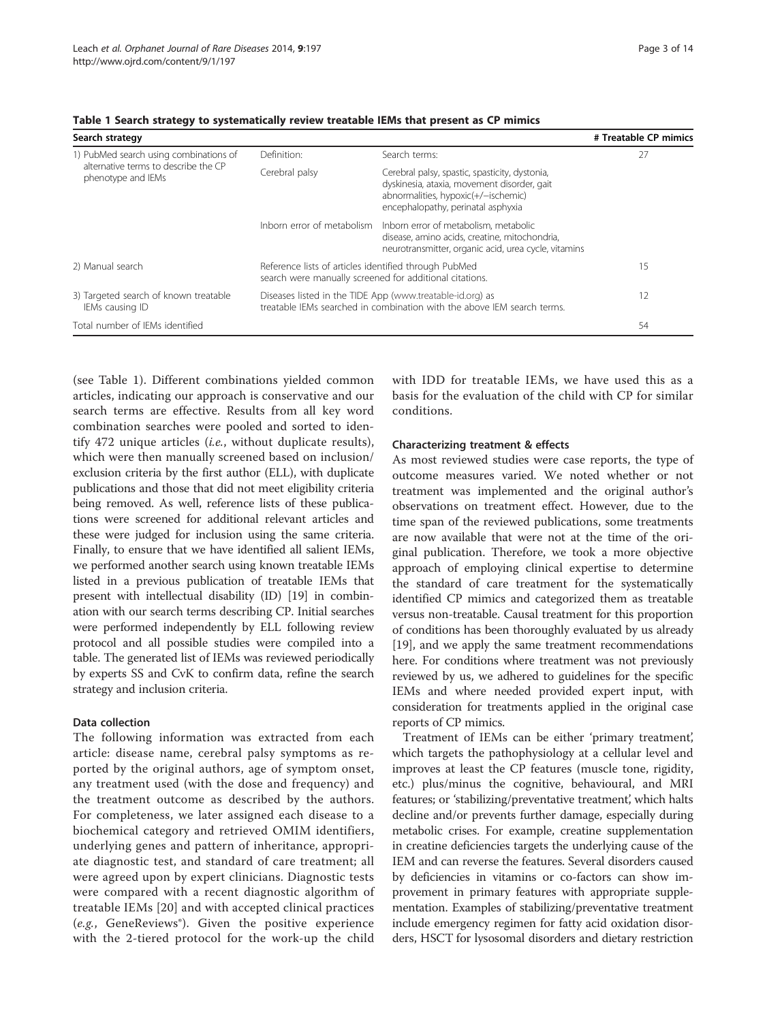| Search strategy                                                                                      |                                                                                                                  |                                                                                                                                                                            | # Treatable CP mimics |
|------------------------------------------------------------------------------------------------------|------------------------------------------------------------------------------------------------------------------|----------------------------------------------------------------------------------------------------------------------------------------------------------------------------|-----------------------|
| 1) PubMed search using combinations of<br>alternative terms to describe the CP<br>phenotype and IEMs | Definition:                                                                                                      | Search terms:                                                                                                                                                              | 27                    |
|                                                                                                      | Cerebral palsy                                                                                                   | Cerebral palsy, spastic, spasticity, dystonia,<br>dyskinesia, ataxia, movement disorder, gait<br>abnormalities, hypoxic(+/-ischemic)<br>encephalopathy, perinatal asphyxia |                       |
|                                                                                                      | Inborn error of metabolism                                                                                       | Inborn error of metabolism, metabolic<br>disease, amino acids, creatine, mitochondria,<br>neurotransmitter, organic acid, urea cycle, vitamins                             |                       |
| 2) Manual search                                                                                     | Reference lists of articles identified through PubMed<br>search were manually screened for additional citations. |                                                                                                                                                                            | 15                    |
| 3) Targeted search of known treatable<br>IEMs causing ID                                             |                                                                                                                  | Diseases listed in the TIDE App (www.treatable-id.org) as<br>treatable IEMs searched in combination with the above IEM search terms.                                       | 12                    |
| Total number of IFMs identified                                                                      |                                                                                                                  |                                                                                                                                                                            | 54                    |

<span id="page-2-0"></span>Table 1 Search strategy to systematically review treatable IEMs that present as CP mimics

(see Table 1). Different combinations yielded common articles, indicating our approach is conservative and our search terms are effective. Results from all key word combination searches were pooled and sorted to identify  $472$  unique articles (*i.e.*, without duplicate results), which were then manually screened based on inclusion/ exclusion criteria by the first author (ELL), with duplicate publications and those that did not meet eligibility criteria being removed. As well, reference lists of these publications were screened for additional relevant articles and these were judged for inclusion using the same criteria. Finally, to ensure that we have identified all salient IEMs, we performed another search using known treatable IEMs listed in a previous publication of treatable IEMs that present with intellectual disability (ID) [[19](#page-12-0)] in combination with our search terms describing CP. Initial searches were performed independently by ELL following review protocol and all possible studies were compiled into a table. The generated list of IEMs was reviewed periodically by experts SS and CvK to confirm data, refine the search strategy and inclusion criteria.

### Data collection

The following information was extracted from each article: disease name, cerebral palsy symptoms as reported by the original authors, age of symptom onset, any treatment used (with the dose and frequency) and the treatment outcome as described by the authors. For completeness, we later assigned each disease to a biochemical category and retrieved OMIM identifiers, underlying genes and pattern of inheritance, appropriate diagnostic test, and standard of care treatment; all were agreed upon by expert clinicians. Diagnostic tests were compared with a recent diagnostic algorithm of treatable IEMs [[20](#page-12-0)] and with accepted clinical practices (e.g., GeneReviews®). Given the positive experience with the 2-tiered protocol for the work-up the child with IDD for treatable IEMs, we have used this as a basis for the evaluation of the child with CP for similar conditions.

### Characterizing treatment & effects

As most reviewed studies were case reports, the type of outcome measures varied. We noted whether or not treatment was implemented and the original author's observations on treatment effect. However, due to the time span of the reviewed publications, some treatments are now available that were not at the time of the original publication. Therefore, we took a more objective approach of employing clinical expertise to determine the standard of care treatment for the systematically identified CP mimics and categorized them as treatable versus non-treatable. Causal treatment for this proportion of conditions has been thoroughly evaluated by us already [[19](#page-12-0)], and we apply the same treatment recommendations here. For conditions where treatment was not previously reviewed by us, we adhered to guidelines for the specific IEMs and where needed provided expert input, with consideration for treatments applied in the original case reports of CP mimics.

Treatment of IEMs can be either 'primary treatment', which targets the pathophysiology at a cellular level and improves at least the CP features (muscle tone, rigidity, etc.) plus/minus the cognitive, behavioural, and MRI features; or 'stabilizing/preventative treatment', which halts decline and/or prevents further damage, especially during metabolic crises. For example, creatine supplementation in creatine deficiencies targets the underlying cause of the IEM and can reverse the features. Several disorders caused by deficiencies in vitamins or co-factors can show improvement in primary features with appropriate supplementation. Examples of stabilizing/preventative treatment include emergency regimen for fatty acid oxidation disorders, HSCT for lysosomal disorders and dietary restriction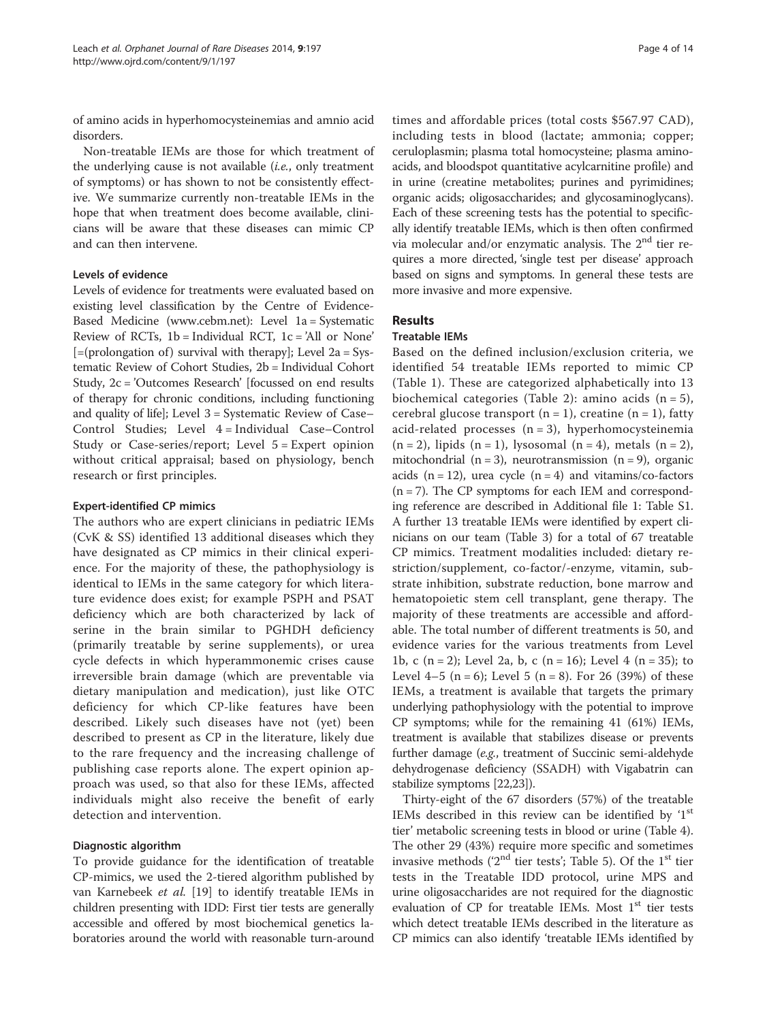of amino acids in hyperhomocysteinemias and amnio acid disorders.

Non-treatable IEMs are those for which treatment of the underlying cause is not available (i.e., only treatment of symptoms) or has shown to not be consistently effective. We summarize currently non-treatable IEMs in the hope that when treatment does become available, clinicians will be aware that these diseases can mimic CP and can then intervene.

# Levels of evidence

Levels of evidence for treatments were evaluated based on existing level classification by the Centre of Evidence-Based Medicine [\(www.cebm.net](http://www.cebm.net)): Level 1a = Systematic Review of RCTs,  $1b =$ Individual RCT,  $1c =$ 'All or None'  $[=(prologation of)$  survival with therapy]; Level 2a = Systematic Review of Cohort Studies, 2b = Individual Cohort Study, 2c = 'Outcomes Research' [focussed on end results of therapy for chronic conditions, including functioning and quality of life]; Level 3 = Systematic Review of Case– Control Studies; Level 4 = Individual Case–Control Study or Case-series/report; Level 5 = Expert opinion without critical appraisal; based on physiology, bench research or first principles.

### Expert-identified CP mimics

The authors who are expert clinicians in pediatric IEMs (CvK & SS) identified 13 additional diseases which they have designated as CP mimics in their clinical experience. For the majority of these, the pathophysiology is identical to IEMs in the same category for which literature evidence does exist; for example PSPH and PSAT deficiency which are both characterized by lack of serine in the brain similar to PGHDH deficiency (primarily treatable by serine supplements), or urea cycle defects in which hyperammonemic crises cause irreversible brain damage (which are preventable via dietary manipulation and medication), just like OTC deficiency for which CP-like features have been described. Likely such diseases have not (yet) been described to present as CP in the literature, likely due to the rare frequency and the increasing challenge of publishing case reports alone. The expert opinion approach was used, so that also for these IEMs, affected individuals might also receive the benefit of early detection and intervention.

# Diagnostic algorithm

To provide guidance for the identification of treatable CP-mimics, we used the 2-tiered algorithm published by van Karnebeek et al. [\[19\]](#page-12-0) to identify treatable IEMs in children presenting with IDD: First tier tests are generally accessible and offered by most biochemical genetics laboratories around the world with reasonable turn-around

times and affordable prices (total costs \$567.97 CAD), including tests in blood (lactate; ammonia; copper; ceruloplasmin; plasma total homocysteine; plasma aminoacids, and bloodspot quantitative acylcarnitine profile) and in urine (creatine metabolites; purines and pyrimidines; organic acids; oligosaccharides; and glycosaminoglycans). Each of these screening tests has the potential to specifically identify treatable IEMs, which is then often confirmed via molecular and/or enzymatic analysis. The 2<sup>nd</sup> tier requires a more directed, 'single test per disease' approach based on signs and symptoms. In general these tests are more invasive and more expensive.

# Results

### Treatable IEMs

Based on the defined inclusion/exclusion criteria, we identified 54 treatable IEMs reported to mimic CP (Table [1\)](#page-2-0). These are categorized alphabetically into 13 biochemical categories (Table [2\)](#page-4-0): amino acids  $(n = 5)$ , cerebral glucose transport  $(n = 1)$ , creatine  $(n = 1)$ , fatty acid-related processes  $(n = 3)$ , hyperhomocysteinemia  $(n = 2)$ , lipids  $(n = 1)$ , lysosomal  $(n = 4)$ , metals  $(n = 2)$ , mitochondrial  $(n = 3)$ , neurotransmission  $(n = 9)$ , organic acids  $(n = 12)$ , urea cycle  $(n = 4)$  and vitamins/co-factors  $(n = 7)$ . The CP symptoms for each IEM and corresponding reference are described in Additional file [1:](#page-12-0) Table S1. A further 13 treatable IEMs were identified by expert clinicians on our team (Table [3](#page-8-0)) for a total of 67 treatable CP mimics. Treatment modalities included: dietary restriction/supplement, co-factor/-enzyme, vitamin, substrate inhibition, substrate reduction, bone marrow and hematopoietic stem cell transplant, gene therapy. The majority of these treatments are accessible and affordable. The total number of different treatments is 50, and evidence varies for the various treatments from Level 1b, c (n = 2); Level 2a, b, c (n = 16); Level 4 (n = 35); to Level 4–5 (n = 6); Level 5 (n = 8). For 26 (39%) of these IEMs, a treatment is available that targets the primary underlying pathophysiology with the potential to improve CP symptoms; while for the remaining 41 (61%) IEMs, treatment is available that stabilizes disease or prevents further damage (e.g., treatment of Succinic semi-aldehyde dehydrogenase deficiency (SSADH) with Vigabatrin can stabilize symptoms [\[22,](#page-12-0)[23\]](#page-13-0)).

Thirty-eight of the 67 disorders (57%) of the treatable IEMs described in this review can be identified by  $1<sup>st</sup>$ tier' metabolic screening tests in blood or urine (Table [4](#page-9-0)). The other 29 (43%) require more specific and sometimes invasive methods ( $2<sup>nd</sup>$  tier tests'; Table [5\)](#page-10-0). Of the  $1<sup>st</sup>$  tier tests in the Treatable IDD protocol, urine MPS and urine oligosaccharides are not required for the diagnostic evaluation of CP for treatable IEMs. Most  $1<sup>st</sup>$  tier tests which detect treatable IEMs described in the literature as CP mimics can also identify 'treatable IEMs identified by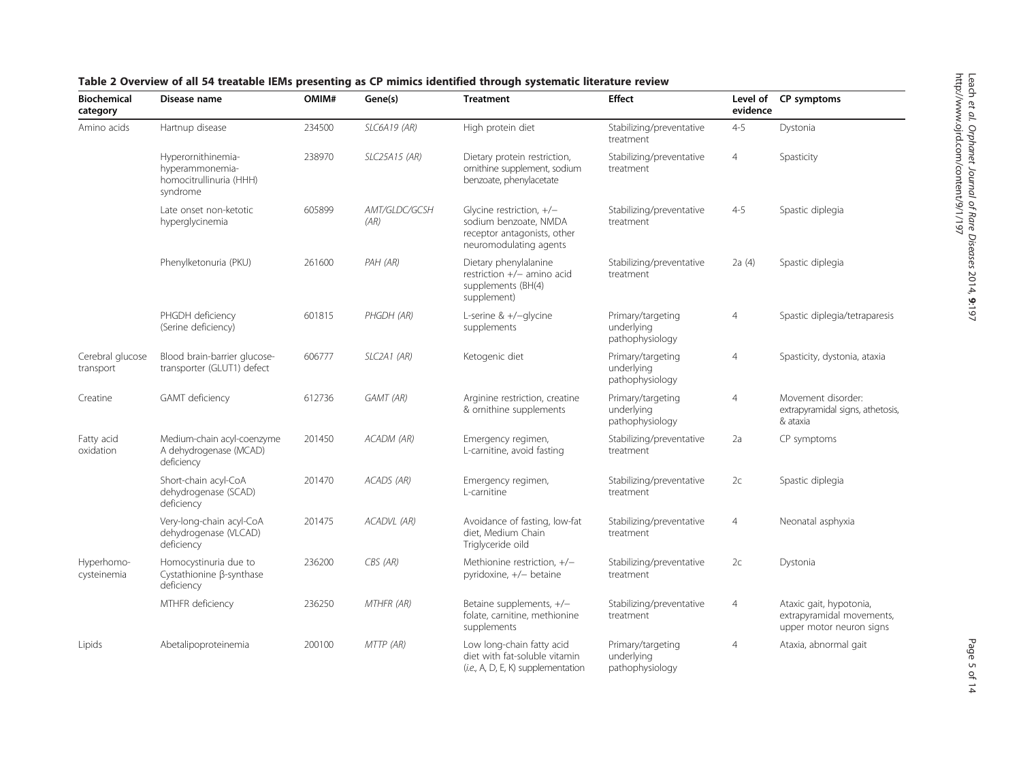| <b>Biochemical</b><br>category | Disease name                                                                 | OMIM#  | Gene(s)               | <b>Treatment</b>                                                                                           | Effect                                             | evidence       | Level of CP symptoms                                                             |
|--------------------------------|------------------------------------------------------------------------------|--------|-----------------------|------------------------------------------------------------------------------------------------------------|----------------------------------------------------|----------------|----------------------------------------------------------------------------------|
| Amino acids                    | Hartnup disease                                                              | 234500 | SLC6A19 (AR)          | High protein diet                                                                                          | Stabilizing/preventative<br>treatment              | $4 - 5$        | Dystonia                                                                         |
|                                | Hyperornithinemia-<br>hyperammonemia-<br>homocitrullinuria (HHH)<br>syndrome | 238970 | SLC25A15 (AR)         | Dietary protein restriction,<br>ornithine supplement, sodium<br>benzoate, phenylacetate                    | Stabilizing/preventative<br>treatment              | $\overline{4}$ | Spasticity                                                                       |
|                                | Late onset non-ketotic<br>hyperglycinemia                                    | 605899 | AMT/GLDC/GCSH<br>(AR) | Glycine restriction, +/-<br>sodium benzoate, NMDA<br>receptor antagonists, other<br>neuromodulating agents | Stabilizing/preventative<br>treatment              | $4 - 5$        | Spastic diplegia                                                                 |
|                                | Phenylketonuria (PKU)                                                        | 261600 | PAH (AR)              | Dietary phenylalanine<br>restriction $+/-$ amino acid<br>supplements (BH(4)<br>supplement)                 | Stabilizing/preventative<br>treatment              | 2a(4)          | Spastic diplegia                                                                 |
|                                | PHGDH deficiency<br>(Serine deficiency)                                      | 601815 | PHGDH (AR)            | L-serine $&+/-$ glycine<br>supplements                                                                     | Primary/targeting<br>underlying<br>pathophysiology | 4              | Spastic diplegia/tetraparesis                                                    |
| Cerebral glucose<br>transport  | Blood brain-barrier glucose-<br>transporter (GLUT1) defect                   | 606777 | SLC2A1 (AR)           | Ketogenic diet                                                                                             | Primary/targeting<br>underlying<br>pathophysiology | $\overline{4}$ | Spasticity, dystonia, ataxia                                                     |
| Creatine                       | GAMT deficiency                                                              | 612736 | GAMT (AR)             | Arginine restriction, creatine<br>& ornithine supplements                                                  | Primary/targeting<br>underlying<br>pathophysiology | $\overline{4}$ | Movement disorder:<br>extrapyramidal signs, athetosis,<br>& ataxia               |
| Fatty acid<br>oxidation        | Medium-chain acyl-coenzyme<br>A dehydrogenase (MCAD)<br>deficiency           | 201450 | ACADM (AR)            | Emergency regimen,<br>L-carnitine, avoid fasting                                                           | Stabilizing/preventative<br>treatment              | 2a             | CP symptoms                                                                      |
|                                | Short-chain acyl-CoA<br>dehydrogenase (SCAD)<br>deficiency                   | 201470 | ACADS (AR)            | Emergency regimen,<br>L-carnitine                                                                          | Stabilizing/preventative<br>treatment              | 2c             | Spastic diplegia                                                                 |
|                                | Very-long-chain acyl-CoA<br>dehydrogenase (VLCAD)<br>deficiency              | 201475 | <b>ACADVL (AR)</b>    | Avoidance of fasting, low-fat<br>diet, Medium Chain<br>Triglyceride oild                                   | Stabilizing/preventative<br>treatment              | 4              | Neonatal asphyxia                                                                |
| Hyperhomo-<br>cysteinemia      | Homocystinuria due to<br>Cystathionine β-synthase<br>deficiency              | 236200 | CBS (AR)              | Methionine restriction, +/-<br>pyridoxine, +/- betaine                                                     | Stabilizing/preventative<br>treatment              | 2c             | Dystonia                                                                         |
|                                | MTHFR deficiency                                                             | 236250 | MTHFR (AR)            | Betaine supplements, +/-<br>folate, carnitine, methionine<br>supplements                                   | Stabilizing/preventative<br>treatment              | 4              | Ataxic gait, hypotonia,<br>extrapyramidal movements,<br>upper motor neuron signs |
| Lipids                         | Abetalipoproteinemia                                                         | 200100 | MTTP (AR)             | Low long-chain fatty acid<br>diet with fat-soluble vitamin<br>(i.e., A, D, E, K) supplementation           | Primary/targeting<br>underlying<br>pathophysiology | $\overline{4}$ | Ataxia, abnormal gait                                                            |

# <span id="page-4-0"></span>Table 2 Overview of all 54 treatable IEMs presenting as CP mimics identified through systematic literature review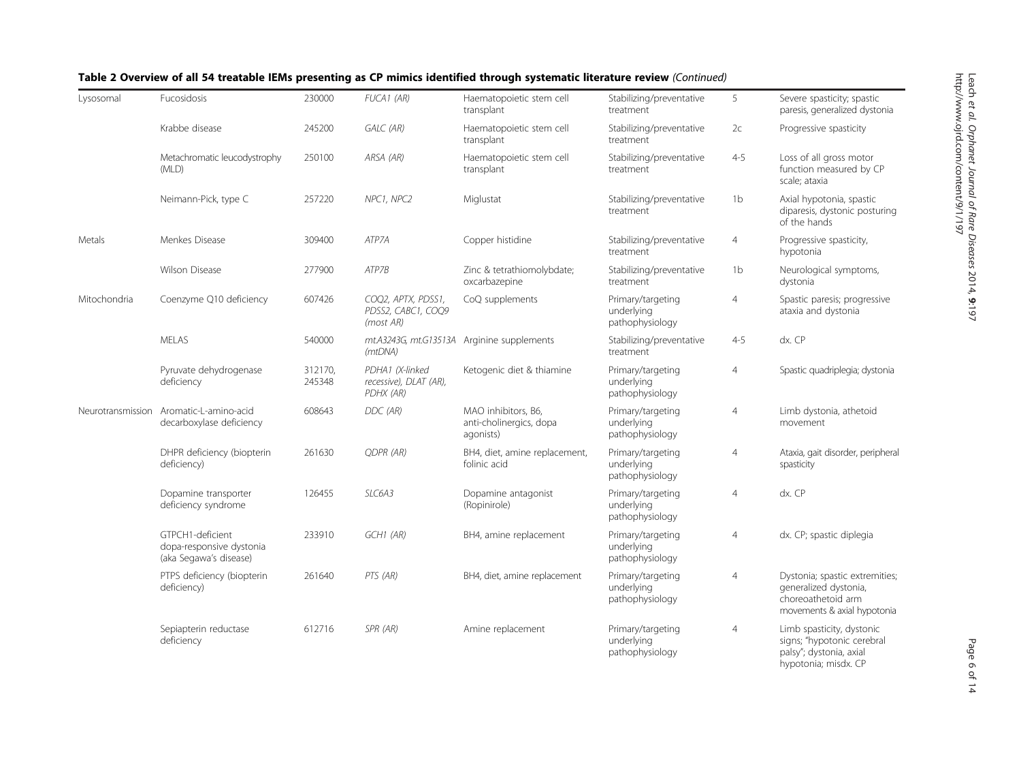| Lysosomal         | Fucosidosis                                                            | 230000            | FUCA1 (AR)                                             | Haematopoietic stem cell<br>transplant                      | Stabilizing/preventative<br>treatment              | 5              | Severe spasticity; spastic<br>paresis, generalized dystonia                                                  |
|-------------------|------------------------------------------------------------------------|-------------------|--------------------------------------------------------|-------------------------------------------------------------|----------------------------------------------------|----------------|--------------------------------------------------------------------------------------------------------------|
|                   | Krabbe disease                                                         | 245200            | GALC (AR)                                              | Haematopoietic stem cell<br>transplant                      | Stabilizing/preventative<br>treatment              | 2c             | Progressive spasticity                                                                                       |
|                   | Metachromatic leucodystrophy<br>(MLD)                                  | 250100            | ARSA (AR)                                              | Haematopoietic stem cell<br>transplant                      | Stabilizing/preventative<br>treatment              | $4 - 5$        | Loss of all gross motor<br>function measured by CP<br>scale; ataxia                                          |
|                   | Neimann-Pick, type C                                                   | 257220            | NPC1, NPC2                                             | Miglustat                                                   | Stabilizing/preventative<br>treatment              | 1 <sub>b</sub> | Axial hypotonia, spastic<br>diparesis, dystonic posturing<br>of the hands                                    |
| Metals            | Menkes Disease                                                         | 309400            | ATP7A                                                  | Copper histidine                                            | Stabilizing/preventative<br>treatment              | $\overline{4}$ | Progressive spasticity,<br>hypotonia                                                                         |
|                   | <b>Wilson Disease</b>                                                  | 277900            | ATP7B                                                  | Zinc & tetrathiomolybdate;<br>oxcarbazepine                 | Stabilizing/preventative<br>treatment              | 1 <sub>b</sub> | Neurological symptoms,<br>dystonia                                                                           |
| Mitochondria      | Coenzyme Q10 deficiency                                                | 607426            | COQ2, APTX, PDSS1,<br>PDSS2, CABC1, COQ9<br>(most AR)  | CoQ supplements                                             | Primary/targeting<br>underlying<br>pathophysiology | $\overline{4}$ | Spastic paresis; progressive<br>ataxia and dystonia                                                          |
|                   | <b>MELAS</b>                                                           | 540000            | (mtDNA)                                                | mt.A3243G, mt.G13513A Arginine supplements                  | Stabilizing/preventative<br>treatment              | $4 - 5$        | dx. CP                                                                                                       |
|                   | Pyruvate dehydrogenase<br>deficiency                                   | 312170,<br>245348 | PDHA1 (X-linked<br>recessive), DLAT (AR),<br>PDHX (AR) | Ketogenic diet & thiamine                                   | Primary/targeting<br>underlying<br>pathophysiology | 4              | Spastic quadriplegia; dystonia                                                                               |
| Neurotransmission | Aromatic-L-amino-acid<br>decarboxylase deficiency                      | 608643            | DDC (AR)                                               | MAO inhibitors, B6,<br>anti-cholinergics, dopa<br>agonists) | Primary/targeting<br>underlying<br>pathophysiology | $\overline{4}$ | Limb dystonia, athetoid<br>movement                                                                          |
|                   | DHPR deficiency (biopterin<br>deficiency)                              | 261630            | QDPR (AR)                                              | BH4, diet, amine replacement,<br>folinic acid               | Primary/targeting<br>underlying<br>pathophysiology | 4              | Ataxia, gait disorder, peripheral<br>spasticity                                                              |
|                   | Dopamine transporter<br>deficiency syndrome                            | 126455            | SLC6A3                                                 | Dopamine antagonist<br>(Ropinirole)                         | Primary/targeting<br>underlying<br>pathophysiology | $\overline{4}$ | dx. CP                                                                                                       |
|                   | GTPCH1-deficient<br>dopa-responsive dystonia<br>(aka Segawa's disease) | 233910            | GCH1 (AR)                                              | BH4, amine replacement                                      | Primary/targeting<br>underlying<br>pathophysiology | $\overline{4}$ | dx. CP; spastic diplegia                                                                                     |
|                   | PTPS deficiency (biopterin<br>deficiency)                              | 261640            | PTS (AR)                                               | BH4, diet, amine replacement                                | Primary/targeting<br>underlying<br>pathophysiology | $\overline{4}$ | Dystonia; spastic extremities;<br>generalized dystonia,<br>choreoathetoid arm<br>movements & axial hypotonia |
|                   | Sepiapterin reductase<br>deficiency                                    | 612716            | SPR (AR)                                               | Amine replacement                                           | Primary/targeting<br>underlying<br>pathophysiology | $\overline{4}$ | Limb spasticity, dystonic<br>signs; "hypotonic cerebral<br>palsy"; dystonia, axial                           |

# Table 2 Overview of all 54 treatable IEMs presenting as CP mimics identified through systematic literature review (Continued)

hypotonia; misdx. CP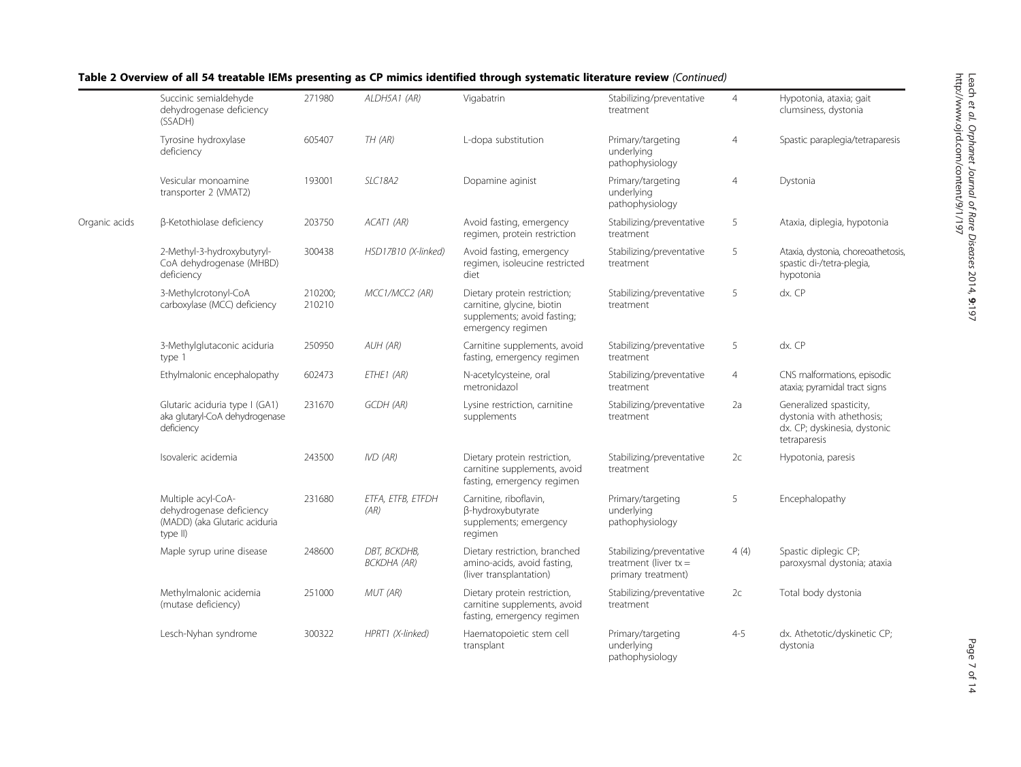| Table 2 Overview of all 54 treatable IEMs presenting as CP mimics identified through systematic literature review (Continued) |                                                                      |                   |                     |                                                                                                                |                                                    |                |                                                                              |
|-------------------------------------------------------------------------------------------------------------------------------|----------------------------------------------------------------------|-------------------|---------------------|----------------------------------------------------------------------------------------------------------------|----------------------------------------------------|----------------|------------------------------------------------------------------------------|
|                                                                                                                               | Succinic semialdehyde<br>dehydrogenase deficiency<br>(SSADH)         | 271980            | ALDH5A1 (AR)        | Vigabatrin                                                                                                     | Stabilizing/preventative<br>treatment              | $\overline{4}$ | Hypotonia, ataxia; gait<br>clumsiness, dystonia                              |
|                                                                                                                               | Tyrosine hydroxylase<br>deficiency                                   | 605407            | TH (AR)             | L-dopa substitution                                                                                            | Primary/targeting<br>underlying<br>pathophysiology | $\overline{4}$ | Spastic paraplegia/tetraparesis                                              |
|                                                                                                                               | Vesicular monoamine<br>transporter 2 (VMAT2)                         | 193001            | <b>SLC18A2</b>      | Dopamine aginist                                                                                               | Primary/targeting<br>underlying<br>pathophysiology | $\overline{4}$ | Dystonia                                                                     |
| Organic acids                                                                                                                 | B-Ketothiolase deficiency                                            | 203750            | ACAT1 (AR)          | Avoid fasting, emergency<br>regimen, protein restriction                                                       | Stabilizing/preventative<br>treatment              | 5              | Ataxia, diplegia, hypotonia                                                  |
|                                                                                                                               | 2-Methyl-3-hydroxybutyryl-<br>CoA dehydrogenase (MHBD)<br>deficiency | 300438            | HSD17B10 (X-linked) | Avoid fasting, emergency<br>regimen, isoleucine restricted<br>diet                                             | Stabilizing/preventative<br>treatment              | 5              | Ataxia, dystonia, choreoathetosis,<br>spastic di-/tetra-plegia,<br>hypotonia |
|                                                                                                                               | 3-Methylcrotonyl-CoA<br>carboxylase (MCC) deficiency                 | 210200;<br>210210 | MCC1/MCC2 (AR)      | Dietary protein restriction;<br>carnitine, glycine, biotin<br>supplements; avoid fasting;<br>emergency regimen | Stabilizing/preventative<br>treatment              | 5              | dx. CP                                                                       |

AUH (AR) Carnitine supplements, avoid

 GCDH (AR) Lysine restriction, carnitine supplements

IVD (AR) Dietary protein restriction,

regimen

transplant

MUT (AR) Dietary protein restriction,

metronidazol

fasting, emergency regimen

carnitine supplements, avoid fasting, emergency regimen

Dietary restriction, branched amino-acids, avoid fasting, (liver transplantation)

carnitine supplements, avoid fasting, emergency regimen

Carnitine, riboflavin, β-hydroxybutyrate supplements; emergency Stabilizing/preventative

Stabilizing/preventative

Stabilizing/preventative

Stabilizing/preventative

Stabilizing/preventative treatment (liver  $tx =$ primary treatment)

Stabilizing/preventative

Primary/targeting underlying pathophysiology

Primary/targeting underlying pathophysiology

5 dx. CP

4 CNS malformations, episodic ataxia; pyramidal tract signs

> dystonia with athethosis; dx. CP; dyskinesia, dystonic

> paroxysmal dystonia; ataxia

2a Generalized spasticity,

tetraparesis

2c Hypotonia, paresis

5 Encephalopathy

4 (4) Spastic diplegic CP;

2c Total body dystonia

4-5 dx. Athetotic/dyskinetic CP; dystonia

treatment

treatment

treatment

treatment

treatment

3-Methylglutaconic aciduria

Glutaric aciduria type I (GA1) aka glutaryl-CoA dehydrogenase

Isovaleric acidemia 243500

250950

231670

231680

251000

Maple syrup urine disease 248600 DBT, BCKDHB,

Ethylmalonic encephalopathy 602473 ETHE1 (AR) N-acetylcysteine, oral

FTFA FTFR FTFDH

BCKDHA (AR)

(AR)

Lesch-Nyhan syndrome 300322 HPRT1 (X-linked) Haematopoietic stem cell

type 1

deficiency

type II)

Multiple acyl-CoAdehydrogenase deficiency (MADD) (aka Glutaric aciduria

Methylmalonic acidemia (mutase deficiency)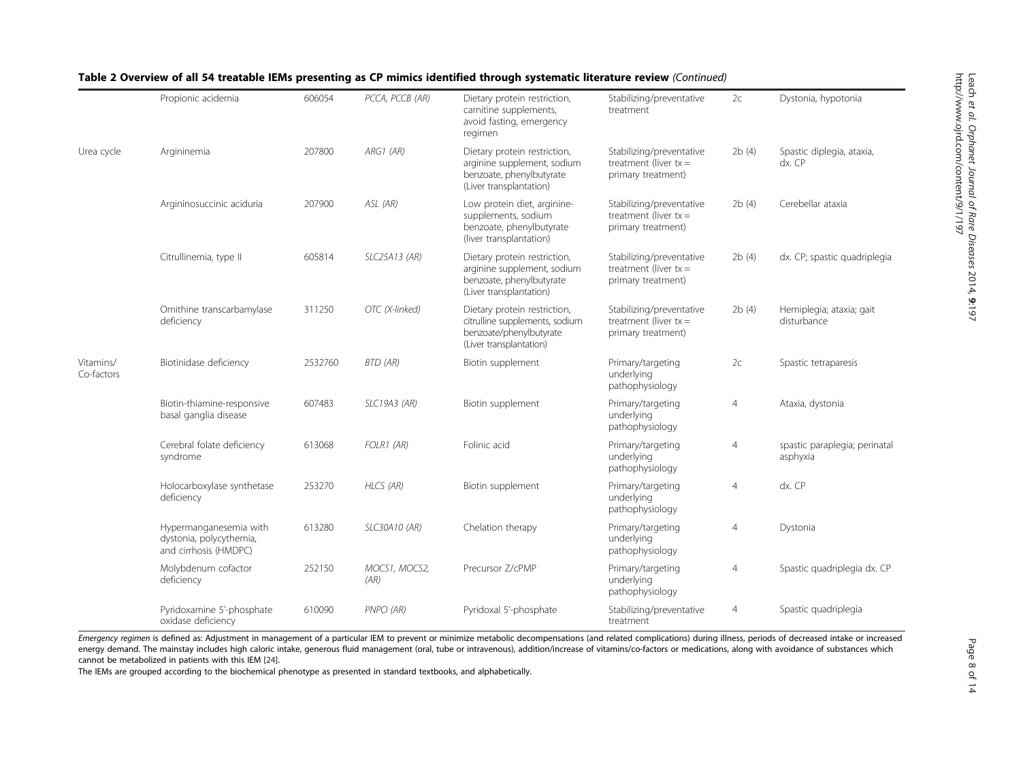| Table 2 Overview of all 54 treatable IEMs presenting as CP mimics identified through systematic literature review (Continued) |  |
|-------------------------------------------------------------------------------------------------------------------------------|--|
|                                                                                                                               |  |

|                         | Propionic acidemia                                                         | 606054  | PCCA, PCCB (AR)       | Dietary protein restriction,<br>carnitine supplements,<br>avoid fasting, emergency<br>regimen                        | Stabilizing/preventative<br>treatment                                     | 2c    | Dystonia, hypotonia                       |
|-------------------------|----------------------------------------------------------------------------|---------|-----------------------|----------------------------------------------------------------------------------------------------------------------|---------------------------------------------------------------------------|-------|-------------------------------------------|
| Urea cycle              | Argininemia                                                                | 207800  | ARG1 (AR)             | Dietary protein restriction,<br>arginine supplement, sodium<br>benzoate, phenylbutyrate<br>(Liver transplantation)   | Stabilizing/preventative<br>treatment (liver $tx =$<br>primary treatment) | 2b(4) | Spastic diplegia, ataxia,<br>dx. CP       |
|                         | Argininosuccinic aciduria                                                  | 207900  | ASL (AR)              | Low protein diet, arginine-<br>supplements, sodium<br>benzoate, phenylbutyrate<br>(liver transplantation)            | Stabilizing/preventative<br>treatment (liver $tx =$<br>primary treatment) | 2b(4) | Cerebellar ataxia                         |
|                         | Citrullinemia, type II                                                     | 605814  | SLC25A13 (AR)         | Dietary protein restriction,<br>arginine supplement, sodium<br>benzoate, phenylbutyrate<br>(Liver transplantation)   | Stabilizing/preventative<br>treatment (liver $tx =$<br>primary treatment) | 2b(4) | dx. CP; spastic quadriplegia              |
|                         | Ornithine transcarbamylase<br>deficiency                                   | 311250  | OTC (X-linked)        | Dietary protein restriction,<br>citrulline supplements, sodium<br>benzoate/phenylbutyrate<br>(Liver transplantation) | Stabilizing/preventative<br>treatment (liver $tx =$<br>primary treatment) | 2b(4) | Hemiplegia; ataxia; gait<br>disturbance   |
| Vitamins/<br>Co-factors | Biotinidase deficiency                                                     | 2532760 | BTD (AR)              | Biotin supplement                                                                                                    | Primary/targeting<br>underlying<br>pathophysiology                        | 2c    | Spastic tetraparesis                      |
|                         | Biotin-thiamine-responsive<br>basal ganglia disease                        | 607483  | SLC19A3 (AR)          | Biotin supplement                                                                                                    | Primary/targeting<br>underlying<br>pathophysiology                        | 4     | Ataxia, dystonia                          |
|                         | Cerebral folate deficiency<br>syndrome                                     | 613068  | FOLR1 (AR)            | Folinic acid                                                                                                         | Primary/targeting<br>underlying<br>pathophysiology                        | 4     | spastic paraplegia; perinatal<br>asphyxia |
|                         | Holocarboxylase synthetase<br>deficiency                                   | 253270  | HLCS (AR)             | Biotin supplement                                                                                                    | Primary/targeting<br>underlying<br>pathophysiology                        | 4     | dx. CP                                    |
|                         | Hypermanganesemia with<br>dystonia, polycythemia,<br>and cirrhosis (HMDPC) | 613280  | SLC30A10 (AR)         | Chelation therapy                                                                                                    | Primary/targeting<br>underlying<br>pathophysiology                        | 4     | Dystonia                                  |
|                         | Molybdenum cofactor<br>deficiency                                          | 252150  | MOCS1, MOCS2,<br>(AR) | Precursor Z/cPMP                                                                                                     | Primary/targeting<br>underlying<br>pathophysiology                        | 4     | Spastic quadriplegia dx. CP               |
|                         | Pyridoxamine 5'-phosphate<br>oxidase deficiency                            | 610090  | PNPO (AR)             | Pyridoxal 5'-phosphate                                                                                               | Stabilizing/preventative<br>treatment                                     | 4     | Spastic quadriplegia                      |

Emergency regimen is defined as: Adjustment in management of a particular IEM to prevent or minimize metabolic decompensations (and related complications) during illness, periods of decreased intake or increased energy demand. The mainstay includes high caloric intake, generous fluid management (oral, tube or intravenous), addition/increase of vitamins/co-factors or medications, along with avoidance of substances which cannot be metabolized in patients with this IEM [[24](#page-13-0)].

The IEMs are grouped according to the biochemical phenotype as presented in standard textbooks, and alphabetically.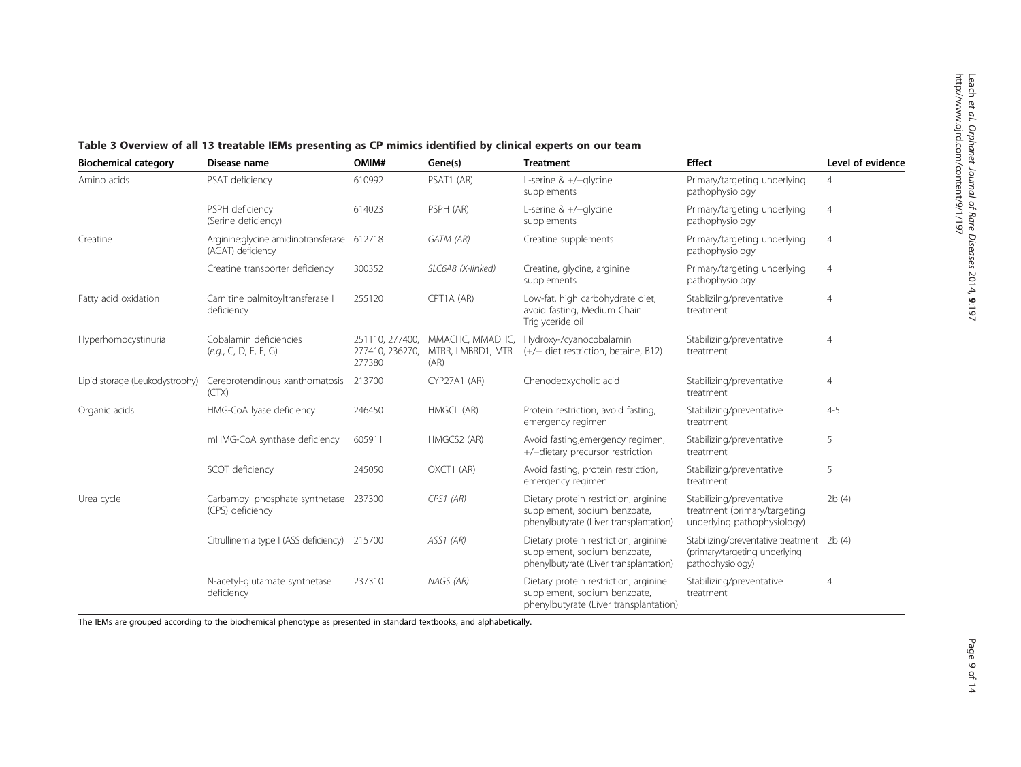| <b>Biochemical category</b>    | Disease name                                              | OMIM#                                        | Gene(s)                                      | <b>Treatment</b>                                                                                                | <b>Effect</b>                                                                                  | Level of evidence |
|--------------------------------|-----------------------------------------------------------|----------------------------------------------|----------------------------------------------|-----------------------------------------------------------------------------------------------------------------|------------------------------------------------------------------------------------------------|-------------------|
| Amino acids                    | PSAT deficiency                                           | 610992                                       | PSAT1 (AR)                                   | L-serine & +/-glycine<br>supplements                                                                            | Primary/targeting underlying<br>pathophysiology                                                | $\overline{4}$    |
|                                | PSPH deficiency<br>(Serine deficiency)                    | 614023                                       | PSPH (AR)                                    | L-serine $&+/-$ glycine<br>supplements                                                                          | Primary/targeting underlying<br>pathophysiology                                                | $\overline{4}$    |
| Creatine                       | Arginine: glycine amidinotransferase<br>(AGAT) deficiency | 612718                                       | GATM (AR)                                    | Creatine supplements                                                                                            | Primary/targeting underlying<br>pathophysiology                                                | $\overline{4}$    |
|                                | Creatine transporter deficiency                           | 300352                                       | SLC6A8 (X-linked)                            | Creatine, glycine, arginine<br>supplements                                                                      | Primary/targeting underlying<br>pathophysiology                                                | 4                 |
| Fatty acid oxidation           | Carnitine palmitoyltransferase I<br>deficiency            | 255120                                       | CPT1A (AR)                                   | Low-fat, high carbohydrate diet,<br>avoid fasting, Medium Chain<br>Triglyceride oil                             | Stablizilng/preventative<br>treatment                                                          | $\overline{4}$    |
| Hyperhomocystinuria            | Cobalamin deficiencies<br>(e.g., C, D, E, F, G)           | 251110, 277400,<br>277410, 236270,<br>277380 | MMACHC, MMADHC,<br>MTRR, LMBRD1, MTR<br>(AR) | Hydroxy-/cyanocobalamin<br>(+/- diet restriction, betaine, B12)                                                 | Stabilizing/preventative<br>treatment                                                          | $\overline{4}$    |
| Lipid storage (Leukodystrophy) | Cerebrotendinous xanthomatosis<br>(CTX)                   | 213700                                       | CYP27A1 (AR)                                 | Chenodeoxycholic acid                                                                                           | Stabilizing/preventative<br>treatment                                                          | 4                 |
| Organic acids                  | HMG-CoA lyase deficiency                                  | 246450                                       | HMGCL (AR)                                   | Protein restriction, avoid fasting,<br>emergency regimen                                                        | Stabilizing/preventative<br>treatment                                                          | $4 - 5$           |
|                                | mHMG-CoA synthase deficiency                              | 605911                                       | HMGCS2 (AR)                                  | Avoid fasting, emergency regimen,<br>+/-dietary precursor restriction                                           | Stabilizing/preventative<br>treatment                                                          | 5                 |
|                                | SCOT deficiency                                           | 245050                                       | OXCT1 (AR)                                   | Avoid fasting, protein restriction,<br>emergency regimen                                                        | Stabilizing/preventative<br>treatment                                                          | 5                 |
| Urea cycle                     | Carbamoyl phosphate synthetase 237300<br>(CPS) deficiency |                                              | $CPS1$ (AR)                                  | Dietary protein restriction, arginine<br>supplement, sodium benzoate,<br>phenylbutyrate (Liver transplantation) | Stabilizing/preventative<br>treatment (primary/targeting<br>underlying pathophysiology)        | 2b(4)             |
|                                | Citrullinemia type I (ASS deficiency) 215700              |                                              | ASS1 (AR)                                    | Dietary protein restriction, arginine<br>supplement, sodium benzoate,<br>phenylbutyrate (Liver transplantation) | Stabilizing/preventative treatment 2b (4)<br>(primary/targeting underlying<br>pathophysiology) |                   |
|                                | N-acetyl-glutamate synthetase<br>deficiency               | 237310                                       | NAGS (AR)                                    | Dietary protein restriction, arginine<br>supplement, sodium benzoate,<br>phenylbutyrate (Liver transplantation) | Stabilizing/preventative<br>treatment                                                          | 4                 |

<span id="page-8-0"></span>

| Table 3 Overview of all 13 treatable IEMs presenting as CP mimics identified by clinical experts on our team |  |
|--------------------------------------------------------------------------------------------------------------|--|
|--------------------------------------------------------------------------------------------------------------|--|

The IEMs are grouped according to the biochemical phenotype as presented in standard textbooks, and alphabetically.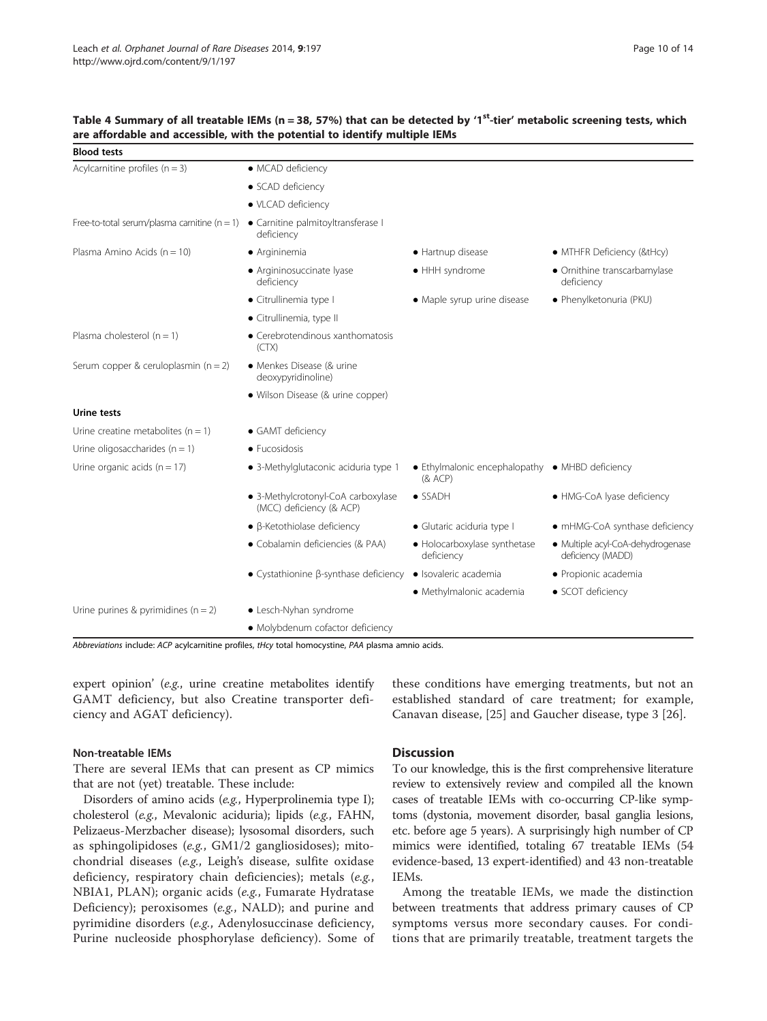| <b>Blood tests</b>                               |                                                                |                                                            |                                                        |
|--------------------------------------------------|----------------------------------------------------------------|------------------------------------------------------------|--------------------------------------------------------|
| Acylcarnitine profiles $(n = 3)$                 | • MCAD deficiency                                              |                                                            |                                                        |
|                                                  | • SCAD deficiency                                              |                                                            |                                                        |
|                                                  | • VLCAD deficiency                                             |                                                            |                                                        |
| Free-to-total serum/plasma carnitine ( $n = 1$ ) | • Carnitine palmitoyltransferase I<br>deficiency               |                                                            |                                                        |
| Plasma Amino Acids (n = 10)                      | • Argininemia                                                  | • Hartnup disease                                          | • MTHFR Deficiency (&tHcy)                             |
|                                                  | • Argininosuccinate lyase<br>deficiency                        | • HHH syndrome                                             | • Ornithine transcarbamylase<br>deficiency             |
|                                                  | • Citrullinemia type I                                         | • Maple syrup urine disease                                | · Phenylketonuria (PKU)                                |
|                                                  | · Citrullinemia, type II                                       |                                                            |                                                        |
| Plasma cholesterol ( $n = 1$ )                   | • Cerebrotendinous xanthomatosis<br>(CTX)                      |                                                            |                                                        |
| Serum copper & ceruloplasmin ( $n = 2$ )         | · Menkes Disease (& urine<br>deoxypyridinoline)                |                                                            |                                                        |
|                                                  | · Wilson Disease (& urine copper)                              |                                                            |                                                        |
| <b>Urine tests</b>                               |                                                                |                                                            |                                                        |
| Urine creatine metabolites $(n = 1)$             | • GAMT deficiency                                              |                                                            |                                                        |
| Urine oligosaccharides ( $n = 1$ )               | $\bullet$ Fucosidosis                                          |                                                            |                                                        |
| Urine organic acids $(n = 17)$                   | · 3-Methylglutaconic aciduria type 1                           | • Ethylmalonic encephalopathy • MHBD deficiency<br>(& ACP) |                                                        |
|                                                  | • 3-Methylcrotonyl-CoA carboxylase<br>(MCC) deficiency (& ACP) | $\bullet$ SSADH                                            | • HMG-CoA lyase deficiency                             |
|                                                  | $\bullet$ $\beta$ -Ketothiolase deficiency                     | · Glutaric aciduria type I                                 | • mHMG-CoA synthase deficiency                         |
|                                                  | · Cobalamin deficiencies (& PAA)                               | · Holocarboxylase synthetase<br>deficiency                 | · Multiple acyl-CoA-dehydrogenase<br>deficiency (MADD) |
|                                                  | $\bullet$ Cystathionine $\beta$ -synthase deficiency           | · Isovaleric academia                                      | · Propionic academia                                   |
|                                                  |                                                                | · Methylmalonic academia                                   | • SCOT deficiency                                      |
| Urine purines & pyrimidines $(n = 2)$            | • Lesch-Nyhan syndrome                                         |                                                            |                                                        |
|                                                  | • Molybdenum cofactor deficiency                               |                                                            |                                                        |

# <span id="page-9-0"></span>Table 4 Summary of all treatable IEMs (n = 38, 57%) that can be detected by '1st-tier' metabolic screening tests, which are affordable and accessible, with the potential to identify multiple IEMs

Abbreviations include: ACP acylcarnitine profiles, tHcy total homocystine, PAA plasma amnio acids.

expert opinion' (e.g., urine creatine metabolites identify GAMT deficiency, but also Creatine transporter deficiency and AGAT deficiency).

### Non-treatable IEMs

There are several IEMs that can present as CP mimics that are not (yet) treatable. These include:

Disorders of amino acids (e.g., Hyperprolinemia type I); cholesterol (e.g., Mevalonic aciduria); lipids (e.g., FAHN, Pelizaeus-Merzbacher disease); lysosomal disorders, such as sphingolipidoses (e.g., GM1/2 gangliosidoses); mitochondrial diseases (e.g., Leigh's disease, sulfite oxidase deficiency, respiratory chain deficiencies); metals (e.g., NBIA1, PLAN); organic acids (e.g., Fumarate Hydratase Deficiency); peroxisomes (e.g., NALD); and purine and pyrimidine disorders (e.g., Adenylosuccinase deficiency, Purine nucleoside phosphorylase deficiency). Some of these conditions have emerging treatments, but not an established standard of care treatment; for example, Canavan disease, [\[25\]](#page-13-0) and Gaucher disease, type 3 [[26\]](#page-13-0).

# **Discussion**

To our knowledge, this is the first comprehensive literature review to extensively review and compiled all the known cases of treatable IEMs with co-occurring CP-like symptoms (dystonia, movement disorder, basal ganglia lesions, etc. before age 5 years). A surprisingly high number of CP mimics were identified, totaling 67 treatable IEMs (54 evidence-based, 13 expert-identified) and 43 non-treatable IEMs.

Among the treatable IEMs, we made the distinction between treatments that address primary causes of CP symptoms versus more secondary causes. For conditions that are primarily treatable, treatment targets the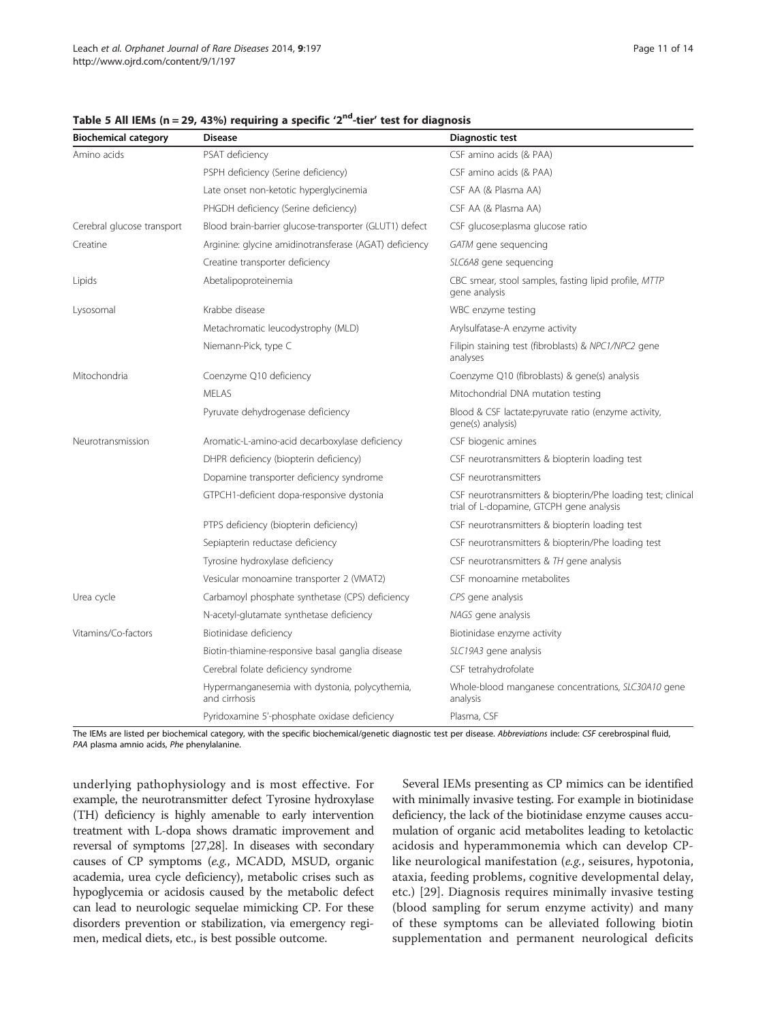| <b>Biochemical category</b> | <b>Disease</b>                                                  | Diagnostic test                                                                                          |
|-----------------------------|-----------------------------------------------------------------|----------------------------------------------------------------------------------------------------------|
| Amino acids                 | PSAT deficiency                                                 | CSF amino acids (& PAA)                                                                                  |
|                             | PSPH deficiency (Serine deficiency)                             | CSF amino acids (& PAA)                                                                                  |
|                             | Late onset non-ketotic hyperglycinemia                          | CSF AA (& Plasma AA)                                                                                     |
|                             | PHGDH deficiency (Serine deficiency)                            | CSF AA (& Plasma AA)                                                                                     |
| Cerebral glucose transport  | Blood brain-barrier glucose-transporter (GLUT1) defect          | CSF glucose:plasma glucose ratio                                                                         |
| Creatine                    | Arginine: glycine amidinotransferase (AGAT) deficiency          | GATM gene sequencing                                                                                     |
|                             | Creatine transporter deficiency                                 | SLC6A8 gene sequencing                                                                                   |
| Lipids                      | Abetalipoproteinemia                                            | CBC smear, stool samples, fasting lipid profile, MTTP<br>gene analysis                                   |
| Lysosomal                   | Krabbe disease                                                  | WBC enzyme testing                                                                                       |
|                             | Metachromatic leucodystrophy (MLD)                              | Arylsulfatase-A enzyme activity                                                                          |
|                             | Niemann-Pick, type C                                            | Filipin staining test (fibroblasts) & NPC1/NPC2 gene<br>analyses                                         |
| Mitochondria                | Coenzyme Q10 deficiency                                         | Coenzyme Q10 (fibroblasts) & gene(s) analysis                                                            |
|                             | <b>MELAS</b>                                                    | Mitochondrial DNA mutation testing                                                                       |
|                             | Pyruvate dehydrogenase deficiency                               | Blood & CSF lactate: pyruvate ratio (enzyme activity,<br>gene(s) analysis)                               |
| Neurotransmission           | Aromatic-L-amino-acid decarboxylase deficiency                  | CSF biogenic amines                                                                                      |
|                             | DHPR deficiency (biopterin deficiency)                          | CSF neurotransmitters & biopterin loading test                                                           |
|                             | Dopamine transporter deficiency syndrome                        | CSF neurotransmitters                                                                                    |
|                             | GTPCH1-deficient dopa-responsive dystonia                       | CSF neurotransmitters & biopterin/Phe loading test; clinical<br>trial of L-dopamine, GTCPH gene analysis |
|                             | PTPS deficiency (biopterin deficiency)                          | CSF neurotransmitters & biopterin loading test                                                           |
|                             | Sepiapterin reductase deficiency                                | CSF neurotransmitters & biopterin/Phe loading test                                                       |
|                             | Tyrosine hydroxylase deficiency                                 | CSF neurotransmitters & TH gene analysis                                                                 |
|                             | Vesicular monoamine transporter 2 (VMAT2)                       | CSF monoamine metabolites                                                                                |
| Urea cycle                  | Carbamoyl phosphate synthetase (CPS) deficiency                 | CPS gene analysis                                                                                        |
|                             | N-acetyl-glutamate synthetase deficiency                        | NAGS gene analysis                                                                                       |
| Vitamins/Co-factors         | Biotinidase deficiency                                          | Biotinidase enzyme activity                                                                              |
|                             | Biotin-thiamine-responsive basal ganglia disease                | SLC19A3 gene analysis                                                                                    |
|                             | Cerebral folate deficiency syndrome                             | CSF tetrahydrofolate                                                                                     |
|                             | Hypermanganesemia with dystonia, polycythemia,<br>and cirrhosis | Whole-blood manganese concentrations, SLC30A10 gene<br>analysis                                          |
|                             | Pyridoxamine 5'-phosphate oxidase deficiency                    | Plasma, CSF                                                                                              |

<span id="page-10-0"></span>Table 5 All IEMs ( $n = 29$ , 43%) requiring a specific '2<sup>nd</sup>-tier' test for diagnosis

The IEMs are listed per biochemical category, with the specific biochemical/genetic diagnostic test per disease. Abbreviations include: CSF cerebrospinal fluid, PAA plasma amnio acids, Phe phenylalanine.

underlying pathophysiology and is most effective. For example, the neurotransmitter defect Tyrosine hydroxylase (TH) deficiency is highly amenable to early intervention treatment with L-dopa shows dramatic improvement and reversal of symptoms [\[27,28\]](#page-13-0). In diseases with secondary causes of CP symptoms (e.g., MCADD, MSUD, organic academia, urea cycle deficiency), metabolic crises such as hypoglycemia or acidosis caused by the metabolic defect can lead to neurologic sequelae mimicking CP. For these disorders prevention or stabilization, via emergency regimen, medical diets, etc., is best possible outcome.

Several IEMs presenting as CP mimics can be identified with minimally invasive testing. For example in biotinidase deficiency, the lack of the biotinidase enzyme causes accumulation of organic acid metabolites leading to ketolactic acidosis and hyperammonemia which can develop CPlike neurological manifestation (e.g., seisures, hypotonia, ataxia, feeding problems, cognitive developmental delay, etc.) [\[29](#page-13-0)]. Diagnosis requires minimally invasive testing (blood sampling for serum enzyme activity) and many of these symptoms can be alleviated following biotin supplementation and permanent neurological deficits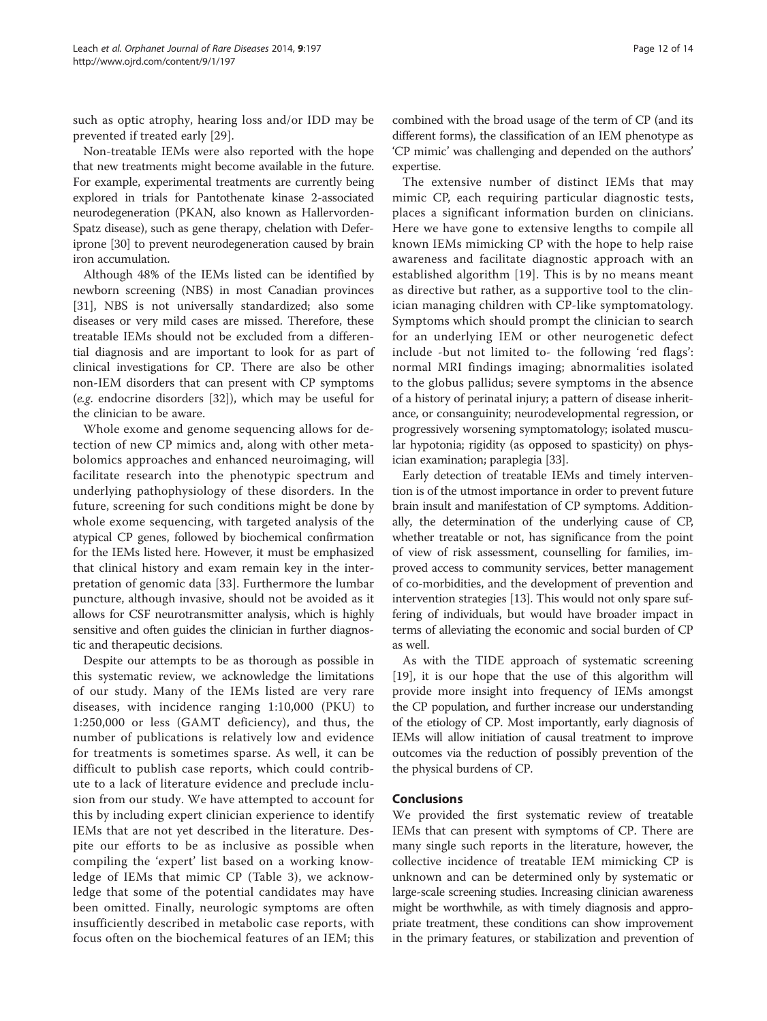such as optic atrophy, hearing loss and/or IDD may be prevented if treated early [\[29](#page-13-0)].

Non-treatable IEMs were also reported with the hope that new treatments might become available in the future. For example, experimental treatments are currently being explored in trials for Pantothenate kinase 2-associated neurodegeneration (PKAN, also known as Hallervorden-Spatz disease), such as gene therapy, chelation with Deferiprone [[30](#page-13-0)] to prevent neurodegeneration caused by brain iron accumulation.

Although 48% of the IEMs listed can be identified by newborn screening (NBS) in most Canadian provinces [[31\]](#page-13-0), NBS is not universally standardized; also some diseases or very mild cases are missed. Therefore, these treatable IEMs should not be excluded from a differential diagnosis and are important to look for as part of clinical investigations for CP. There are also be other non-IEM disorders that can present with CP symptoms (e.g. endocrine disorders [\[32](#page-13-0)]), which may be useful for the clinician to be aware.

Whole exome and genome sequencing allows for detection of new CP mimics and, along with other metabolomics approaches and enhanced neuroimaging, will facilitate research into the phenotypic spectrum and underlying pathophysiology of these disorders. In the future, screening for such conditions might be done by whole exome sequencing, with targeted analysis of the atypical CP genes, followed by biochemical confirmation for the IEMs listed here. However, it must be emphasized that clinical history and exam remain key in the interpretation of genomic data [[33\]](#page-13-0). Furthermore the lumbar puncture, although invasive, should not be avoided as it allows for CSF neurotransmitter analysis, which is highly sensitive and often guides the clinician in further diagnostic and therapeutic decisions.

Despite our attempts to be as thorough as possible in this systematic review, we acknowledge the limitations of our study. Many of the IEMs listed are very rare diseases, with incidence ranging 1:10,000 (PKU) to 1:250,000 or less (GAMT deficiency), and thus, the number of publications is relatively low and evidence for treatments is sometimes sparse. As well, it can be difficult to publish case reports, which could contribute to a lack of literature evidence and preclude inclusion from our study. We have attempted to account for this by including expert clinician experience to identify IEMs that are not yet described in the literature. Despite our efforts to be as inclusive as possible when compiling the 'expert' list based on a working knowledge of IEMs that mimic CP (Table [3\)](#page-8-0), we acknowledge that some of the potential candidates may have been omitted. Finally, neurologic symptoms are often insufficiently described in metabolic case reports, with focus often on the biochemical features of an IEM; this

combined with the broad usage of the term of CP (and its different forms), the classification of an IEM phenotype as 'CP mimic' was challenging and depended on the authors' expertise.

The extensive number of distinct IEMs that may mimic CP, each requiring particular diagnostic tests, places a significant information burden on clinicians. Here we have gone to extensive lengths to compile all known IEMs mimicking CP with the hope to help raise awareness and facilitate diagnostic approach with an established algorithm [[19](#page-12-0)]. This is by no means meant as directive but rather, as a supportive tool to the clinician managing children with CP-like symptomatology. Symptoms which should prompt the clinician to search for an underlying IEM or other neurogenetic defect include -but not limited to- the following 'red flags': normal MRI findings imaging; abnormalities isolated to the globus pallidus; severe symptoms in the absence of a history of perinatal injury; a pattern of disease inheritance, or consanguinity; neurodevelopmental regression, or progressively worsening symptomatology; isolated muscular hypotonia; rigidity (as opposed to spasticity) on physician examination; paraplegia [[33](#page-13-0)].

Early detection of treatable IEMs and timely intervention is of the utmost importance in order to prevent future brain insult and manifestation of CP symptoms. Additionally, the determination of the underlying cause of CP, whether treatable or not, has significance from the point of view of risk assessment, counselling for families, improved access to community services, better management of co-morbidities, and the development of prevention and intervention strategies [\[13\]](#page-12-0). This would not only spare suffering of individuals, but would have broader impact in terms of alleviating the economic and social burden of CP as well.

As with the TIDE approach of systematic screening [[19\]](#page-12-0), it is our hope that the use of this algorithm will provide more insight into frequency of IEMs amongst the CP population, and further increase our understanding of the etiology of CP. Most importantly, early diagnosis of IEMs will allow initiation of causal treatment to improve outcomes via the reduction of possibly prevention of the the physical burdens of CP.

### Conclusions

We provided the first systematic review of treatable IEMs that can present with symptoms of CP. There are many single such reports in the literature, however, the collective incidence of treatable IEM mimicking CP is unknown and can be determined only by systematic or large-scale screening studies. Increasing clinician awareness might be worthwhile, as with timely diagnosis and appropriate treatment, these conditions can show improvement in the primary features, or stabilization and prevention of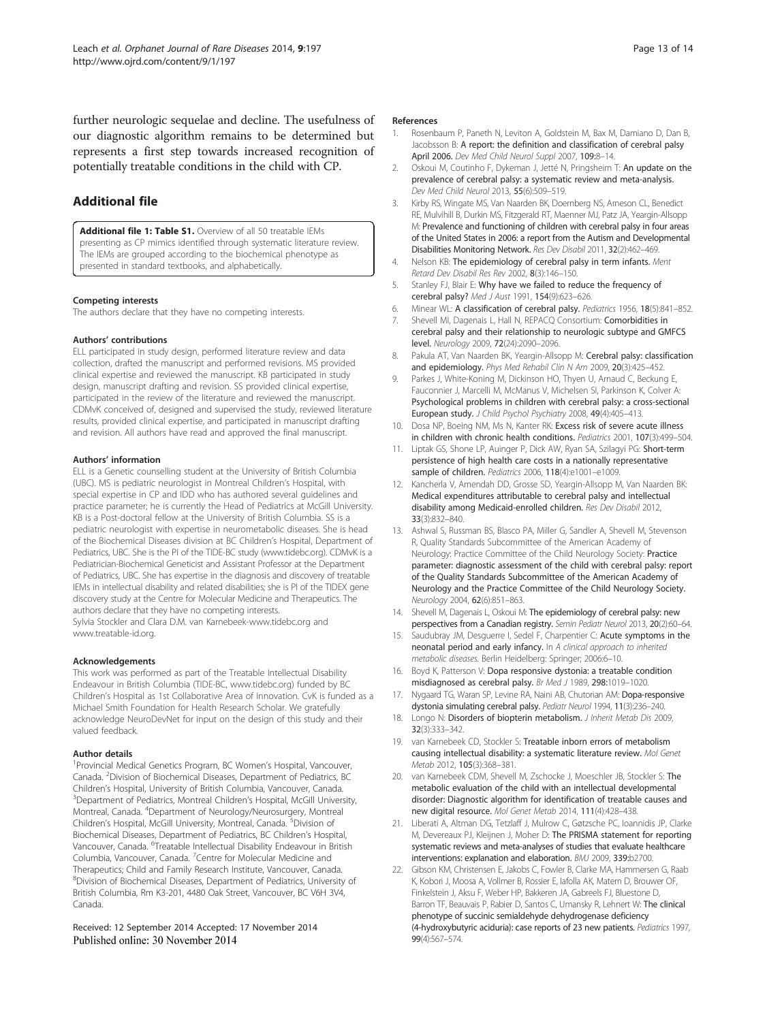<span id="page-12-0"></span>further neurologic sequelae and decline. The usefulness of our diagnostic algorithm remains to be determined but represents a first step towards increased recognition of potentially treatable conditions in the child with CP.

# Additional file

[Additional file 1: Table S1.](http://www.ojrd.com/content/supplementary/s13023-014-0197-2-s1.pdf) Overview of all 50 treatable IEMs presenting as CP mimics identified through systematic literature review. The IEMs are grouped according to the biochemical phenotype as presented in standard textbooks, and alphabetically.

### Competing interests

The authors declare that they have no competing interests.

### Authors' contributions

ELL participated in study design, performed literature review and data collection, drafted the manuscript and performed revisions. MS provided clinical expertise and reviewed the manuscript. KB participated in study design, manuscript drafting and revision. SS provided clinical expertise, participated in the review of the literature and reviewed the manuscript. CDMvK conceived of, designed and supervised the study, reviewed literature results, provided clinical expertise, and participated in manuscript drafting and revision. All authors have read and approved the final manuscript.

### Authors' information

ELL is a Genetic counselling student at the University of British Columbia (UBC). MS is pediatric neurologist in Montreal Children's Hospital, with special expertise in CP and IDD who has authored several guidelines and practice parameter; he is currently the Head of Pediatrics at McGill University. KB is a Post-doctoral fellow at the University of British Columbia. SS is a pediatric neurologist with expertise in neurometabolic diseases. She is head of the Biochemical Diseases division at BC Children's Hospital, Department of Pediatrics, UBC. She is the PI of the TIDE-BC study ([www.tidebc.org](http://www.tidebc.org)). CDMvK is a Pediatrician-Biochemical Geneticist and Assistant Professor at the Department of Pediatrics, UBC. She has expertise in the diagnosis and discovery of treatable IEMs in intellectual disability and related disabilities; she is PI of the TIDEX gene discovery study at the Centre for Molecular Medicine and Therapeutics. The authors declare that they have no competing interests. Sylvia Stockler and Clara D.M. van Karnebeek-[www.tidebc.org](http://www.tidebc.org) and [www.treatable-id.org.](http://www.treatable-id.org)

### Acknowledgements

This work was performed as part of the Treatable Intellectual Disability Endeavour in British Columbia (TIDE-BC, [www.tidebc.org\)](http://www.tidebc.org) funded by BC Children's Hospital as 1st Collaborative Area of Innovation. CvK is funded as a Michael Smith Foundation for Health Research Scholar. We gratefully acknowledge NeuroDevNet for input on the design of this study and their valued feedback.

### Author details

<sup>1</sup> Provincial Medical Genetics Program, BC Women's Hospital, Vancouver, Canada. <sup>2</sup> Division of Biochemical Diseases, Department of Pediatrics, BC Children's Hospital, University of British Columbia, Vancouver, Canada. <sup>3</sup> <sup>3</sup>Department of Pediatrics, Montreal Children's Hospital, McGill University, Montreal, Canada. <sup>4</sup>Department of Neurology/Neurosurgery, Montreal Children's Hospital, McGill University, Montreal, Canada. <sup>5</sup>Division of Biochemical Diseases, Department of Pediatrics, BC Children's Hospital, Vancouver, Canada. <sup>6</sup>Treatable Intellectual Disability Endeavour in British Columbia, Vancouver, Canada. <sup>7</sup> Centre for Molecular Medicine and Therapeutics; Child and Family Research Institute, Vancouver, Canada. 8 Division of Biochemical Diseases, Department of Pediatrics, University of British Columbia, Rm K3-201, 4480 Oak Street, Vancouver, BC V6H 3V4, Canada.

### Received: 12 September 2014 Accepted: 17 November 2014 Published online: 30 November 2014

### References

- 1. Rosenbaum P, Paneth N, Leviton A, Goldstein M, Bax M, Damiano D, Dan B, Jacobsson B: A report: the definition and classification of cerebral palsy April 2006. Dev Med Child Neurol Suppl 2007, 109:8–14.
- 2. Oskoui M, Coutinho F, Dykeman J, Jetté N, Pringsheim T: An update on the prevalence of cerebral palsy: a systematic review and meta-analysis. Dev Med Child Neurol 2013, 55(6):509–519.
- 3. Kirby RS, Wingate MS, Van Naarden BK, Doernberg NS, Arneson CL, Benedict RE, Mulvihill B, Durkin MS, Fitzgerald RT, Maenner MJ, Patz JA, Yeargin-Allsopp M: Prevalence and functioning of children with cerebral palsy in four areas of the United States in 2006: a report from the Autism and Developmental Disabilities Monitoring Network. Res Dev Disabil 2011, 32(2):462–469.
- 4. Nelson KB: The epidemiology of cerebral palsy in term infants. Ment Retard Dev Disabil Res Rev 2002, 8(3):146–150.
- 5. Stanley FJ, Blair E: Why have we failed to reduce the frequency of cerebral palsy? Med J Aust 1991, 154(9):623–626.
- 6. Minear WL: A classification of cerebral palsy. Pediatrics 1956, 18(5):841–852.
- 7. Shevell MI, Dagenais L, Hall N, REPACQ Consortium: Comorbidities in cerebral palsy and their relationship to neurologic subtype and GMFCS level. Neurology 2009, 72(24):2090–2096.
- 8. Pakula AT, Van Naarden BK, Yeargin-Allsopp M: Cerebral palsy: classification and epidemiology. Phys Med Rehabil Clin N Am 2009, 20(3):425–452.
- 9. Parkes J, White-Koning M, Dickinson HO, Thyen U, Arnaud C, Beckung E, Fauconnier J, Marcelli M, McManus V, Michelsen SI, Parkinson K, Colver A: Psychological problems in children with cerebral palsy: a cross-sectional European study. J Child Psychol Psychiatry 2008, 49(4):405–413.
- 10. Dosa NP, Boeing NM, Ms N, Kanter RK: Excess risk of severe acute illness in children with chronic health conditions. Pediatrics 2001, 107(3):499–504.
- 11. Liptak GS, Shone LP, Auinger P, Dick AW, Ryan SA, Szilagyi PG: Short-term persistence of high health care costs in a nationally representative sample of children. Pediatrics 2006, 118(4):e1001-e1009.
- 12. Kancherla V, Amendah DD, Grosse SD, Yeargin-Allsopp M, Van Naarden BK: Medical expenditures attributable to cerebral palsy and intellectual disability among Medicaid-enrolled children. Res Dev Disabil 2012, 33(3):832–840.
- 13. Ashwal S, Russman BS, Blasco PA, Miller G, Sandler A, Shevell M, Stevenson R, Quality Standards Subcommittee of the American Academy of Neurology: Practice Committee of the Child Neurology Society: Practice parameter: diagnostic assessment of the child with cerebral palsy: report of the Quality Standards Subcommittee of the American Academy of Neurology and the Practice Committee of the Child Neurology Society. Neurology 2004, 62(6):851–863.
- 14. Shevell M, Dagenais L, Oskoui M: The epidemiology of cerebral palsy: new perspectives from a Canadian registry. Semin Pediatr Neurol 2013, 20(2):60–64.
- 15. Saudubray JM, Desguerre I, Sedel F, Charpentier C: Acute symptoms in the neonatal period and early infancy. In A clinical approach to inherited metabolic diseases. Berlin Heidelberg: Springer; 2006:6–10.
- 16. Boyd K, Patterson V: Dopa responsive dystonia: a treatable condition misdiagnosed as cerebral palsy. Br Med J 1989, 298:1019–1020.
- 17. Nygaard TG, Waran SP, Levine RA, Naini AB, Chutorian AM: Dopa-responsive dystonia simulating cerebral palsy. Pediatr Neurol 1994, 11(3):236–240.
- 18. Longo N: Disorders of biopterin metabolism. J Inherit Metab Dis 2009, 32(3):333–342.
- 19. van Karnebeek CD, Stockler S: Treatable inborn errors of metabolism causing intellectual disability: a systematic literature review. Mol Genet Metab 2012, 105(3):368–381.
- 20. van Karnebeek CDM, Shevell M, Zschocke J, Moeschler JB, Stockler S: The metabolic evaluation of the child with an intellectual developmental disorder: Diagnostic algorithm for identification of treatable causes and new digital resource. Mol Genet Metab 2014, 111(4):428–438.
- 21. Liberati A, Altman DG, Tetzlaff J, Mulrow C, Gøtzsche PC, Ioannidis JP, Clarke M, Devereaux PJ, Kleijnen J, Moher D: The PRISMA statement for reporting systematic reviews and meta-analyses of studies that evaluate healthcare interventions: explanation and elaboration. BMJ 2009, 339:b2700.
- 22. Gibson KM, Christensen E, Jakobs C, Fowler B, Clarke MA, Hammersen G, Raab K, Kobori J, Moosa A, Vollmer B, Rossier E, Iafolla AK, Matern D, Brouwer OF, Finkelstein J, Aksu F, Weber HP, Bakkeren JA, Gabreels FJ, Bluestone D, Barron TF, Beauvais P, Rabier D, Santos C, Umansky R, Lehnert W: The clinical phenotype of succinic semialdehyde dehydrogenase deficiency (4-hydroxybutyric aciduria): case reports of 23 new patients. Pediatrics 1997, 99(4):567–574.